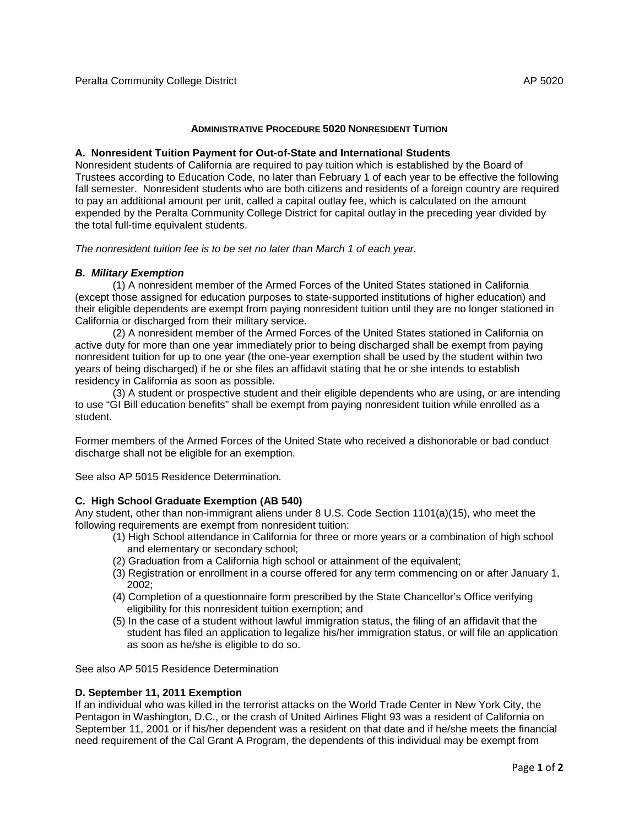## **ADMINISTRATIVE PROCEDURE 5020 NONRESIDENT TUITION**

### **A. Nonresident Tuition Payment for Out-of-State and International Students**

Nonresident students of California are required to pay tuition which is established by the Board of Trustees according to Education Code, no later than February 1 of each year to be effective the following fall semester. Nonresident students who are both citizens and residents of a foreign country are required to pay an additional amount per unit, called a capital outlay fee, which is calculated on the amount expended by the Peralta Community College District for capital outlay in the preceding year divided by the total full-time equivalent students.

*The nonresident tuition fee is to be set no later than March 1 of each year.*

## *B. Military Exemption*

(1) A nonresident member of the Armed Forces of the United States stationed in California (except those assigned for education purposes to state-supported institutions of higher education) and their eligible dependents are exempt from paying nonresident tuition until they are no longer stationed in California or discharged from their military service.

(2) A nonresident member of the Armed Forces of the United States stationed in California on active duty for more than one year immediately prior to being discharged shall be exempt from paying nonresident tuition for up to one year (the one-year exemption shall be used by the student within two years of being discharged) if he or she files an affidavit stating that he or she intends to establish residency in California as soon as possible.

(3) A student or prospective student and their eligible dependents who are using, or are intending to use "GI Bill education benefits" shall be exempt from paying nonresident tuition while enrolled as a student.

Former members of the Armed Forces of the United State who received a dishonorable or bad conduct discharge shall not be eligible for an exemption.

See also AP 5015 Residence Determination.

## **C. High School Graduate Exemption (AB 540)**

Any student, other than non-immigrant aliens under 8 U.S. Code Section 1101(a)(15), who meet the following requirements are exempt from nonresident tuition:

- (1) High School attendance in California for three or more years or a combination of high school and elementary or secondary school;
- (2) Graduation from a California high school or attainment of the equivalent;
- (3) Registration or enrollment in a course offered for any term commencing on or after January 1, 2002;
- (4) Completion of a questionnaire form prescribed by the State Chancellor's Office verifying eligibility for this nonresident tuition exemption; and
- (5) In the case of a student without lawful immigration status, the filing of an affidavit that the student has filed an application to legalize his/her immigration status, or will file an application as soon as he/she is eligible to do so.

See also AP 5015 Residence Determination

## **D. September 11, 2011 Exemption**

If an individual who was killed in the terrorist attacks on the World Trade Center in New York City, the Pentagon in Washington, D.C., or the crash of United Airlines Flight 93 was a resident of California on September 11, 2001 or if his/her dependent was a resident on that date and if he/she meets the financial need requirement of the Cal Grant A Program, the dependents of this individual may be exempt from